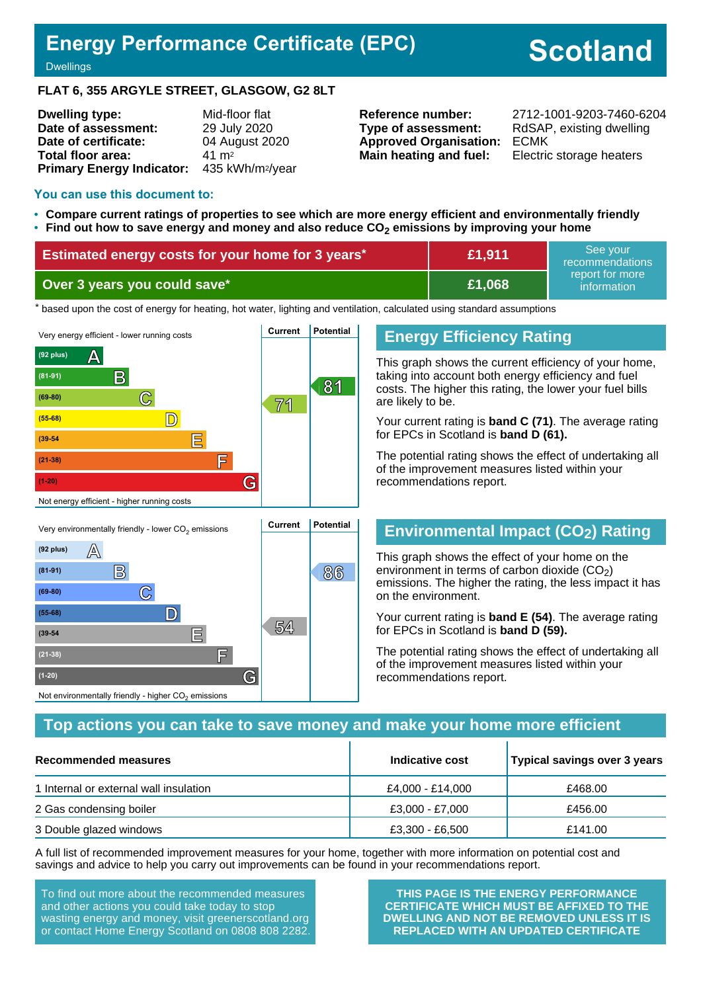# **Energy Performance Certificate (EPC)**

**Scotland**

**Dwellings** 

#### **FLAT 6, 355 ARGYLE STREET, GLASGOW, G2 8LT**

| <b>Dwelling type:</b>                     | Mid-floor flat    |
|-------------------------------------------|-------------------|
| Date of assessment:                       | 29 July 2020      |
| Date of certificate:                      | 04 August 2020    |
| Total floor area:                         | 41 m <sup>2</sup> |
| Primary Energy Indicator: 435 kWh/m2/year |                   |

**Type of assessment:** RdSAP, existing dwelling **Approved Organisation:** ECMK **Main heating and fuel:** Electric storage heaters

**Reference number:** 2712-1001-9203-7460-6204

#### **You can use this document to:**

- **Compare current ratings of properties to see which are more energy efficient and environmentally friendly**
- **Find out how to save energy and money and also reduce CO2 emissions by improving your home**

| <b>Estimated energy costs for your home for 3 years*</b> | £1,911 | See vour<br>recommendations    |
|----------------------------------------------------------|--------|--------------------------------|
| Over 3 years you could save*                             | £1.068 | report for more<br>information |

the based upon the cost of energy for heating, hot water, lighting and ventilation, calculated using standard assumptions



#### **Energy Efficiency Rating**

This graph shows the current efficiency of your home, taking into account both energy efficiency and fuel costs. The higher this rating, the lower your fuel bills are likely to be.

Your current rating is **band C (71)**. The average rating for EPCs in Scotland is **band D (61).**

The potential rating shows the effect of undertaking all of the improvement measures listed within your recommendations report.

### **Environmental Impact (CO2) Rating**

This graph shows the effect of your home on the environment in terms of carbon dioxide  $(CO<sub>2</sub>)$ emissions. The higher the rating, the less impact it has on the environment.

Your current rating is **band E (54)**. The average rating for EPCs in Scotland is **band D (59).**

The potential rating shows the effect of undertaking all of the improvement measures listed within your recommendations report.

#### **Top actions you can take to save money and make your home more efficient**

| Recommended measures                   | Indicative cost  | Typical savings over 3 years |
|----------------------------------------|------------------|------------------------------|
| 1 Internal or external wall insulation | £4,000 - £14,000 | £468.00                      |
| 2 Gas condensing boiler                | £3,000 - £7,000  | £456.00                      |
| 3 Double glazed windows                | £3,300 - £6,500  | £141.00                      |

A full list of recommended improvement measures for your home, together with more information on potential cost and savings and advice to help you carry out improvements can be found in your recommendations report.

To find out more about the recommended measures and other actions you could take today to stop wasting energy and money, visit greenerscotland.org or contact Home Energy Scotland on 0808 808 2282.

**(21-38) F**

Not environmentally friendly - higher  $\mathrm{CO}_2$  emissions

**(1-20) G**

**THIS PAGE IS THE ENERGY PERFORMANCE CERTIFICATE WHICH MUST BE AFFIXED TO THE DWELLING AND NOT BE REMOVED UNLESS IT IS REPLACED WITH AN UPDATED CERTIFICATE**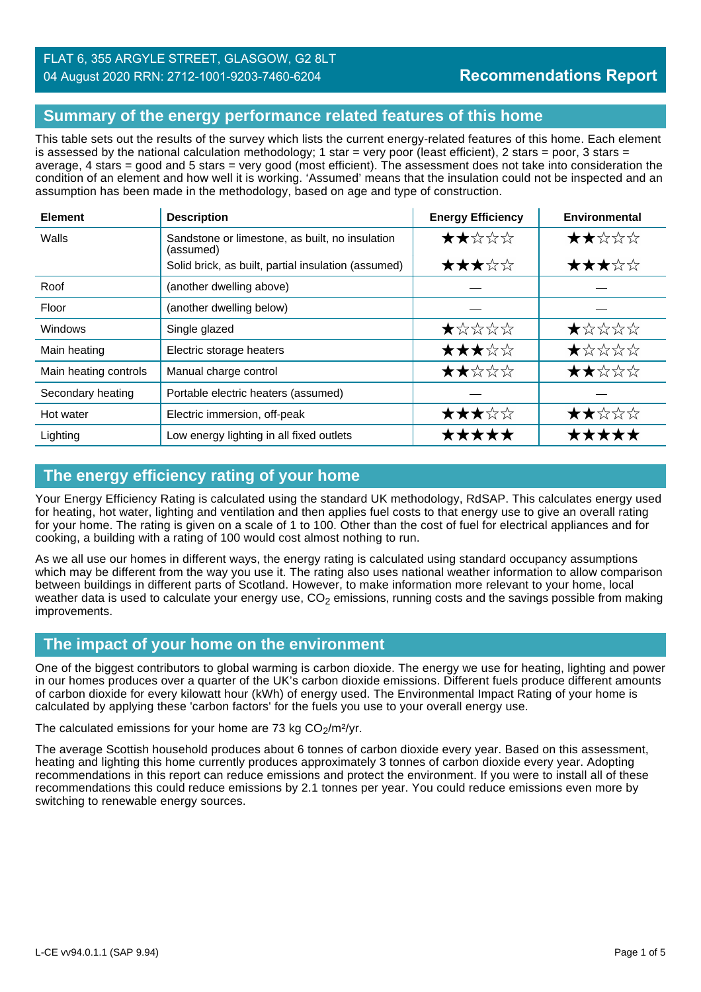### **Summary of the energy performance related features of this home**

This table sets out the results of the survey which lists the current energy-related features of this home. Each element is assessed by the national calculation methodology; 1 star = very poor (least efficient), 2 stars = poor, 3 stars = average, 4 stars = good and 5 stars = very good (most efficient). The assessment does not take into consideration the condition of an element and how well it is working. 'Assumed' means that the insulation could not be inspected and an assumption has been made in the methodology, based on age and type of construction.

| <b>Element</b>        | <b>Description</b>                                           | <b>Energy Efficiency</b> | <b>Environmental</b> |
|-----------------------|--------------------------------------------------------------|--------------------------|----------------------|
| Walls                 | Sandstone or limestone, as built, no insulation<br>(assumed) | ★★☆☆☆                    | ★★☆☆☆                |
|                       | Solid brick, as built, partial insulation (assumed)          | ★★★☆☆                    | ★★★☆☆                |
| Roof                  | (another dwelling above)                                     |                          |                      |
| Floor                 | (another dwelling below)                                     |                          |                      |
| Windows               | Single glazed                                                | ★☆☆☆☆                    | ★☆☆☆☆                |
| Main heating          | Electric storage heaters                                     | ★★★☆☆                    | ★☆☆☆☆                |
| Main heating controls | Manual charge control                                        | ★★☆☆☆                    | ★★☆☆☆                |
| Secondary heating     | Portable electric heaters (assumed)                          |                          |                      |
| Hot water             | Electric immersion, off-peak                                 | ★★★☆☆                    | ★★☆☆☆                |
| Lighting              | Low energy lighting in all fixed outlets                     | *****                    | *****                |

### **The energy efficiency rating of your home**

Your Energy Efficiency Rating is calculated using the standard UK methodology, RdSAP. This calculates energy used for heating, hot water, lighting and ventilation and then applies fuel costs to that energy use to give an overall rating for your home. The rating is given on a scale of 1 to 100. Other than the cost of fuel for electrical appliances and for cooking, a building with a rating of 100 would cost almost nothing to run.

As we all use our homes in different ways, the energy rating is calculated using standard occupancy assumptions which may be different from the way you use it. The rating also uses national weather information to allow comparison between buildings in different parts of Scotland. However, to make information more relevant to your home, local weather data is used to calculate your energy use,  $CO<sub>2</sub>$  emissions, running costs and the savings possible from making improvements.

### **The impact of your home on the environment**

One of the biggest contributors to global warming is carbon dioxide. The energy we use for heating, lighting and power in our homes produces over a quarter of the UK's carbon dioxide emissions. Different fuels produce different amounts of carbon dioxide for every kilowatt hour (kWh) of energy used. The Environmental Impact Rating of your home is calculated by applying these 'carbon factors' for the fuels you use to your overall energy use.

The calculated emissions for your home are 73 kg  $CO<sub>2</sub>/m<sup>2</sup>/yr$ .

The average Scottish household produces about 6 tonnes of carbon dioxide every year. Based on this assessment, heating and lighting this home currently produces approximately 3 tonnes of carbon dioxide every year. Adopting recommendations in this report can reduce emissions and protect the environment. If you were to install all of these recommendations this could reduce emissions by 2.1 tonnes per year. You could reduce emissions even more by switching to renewable energy sources.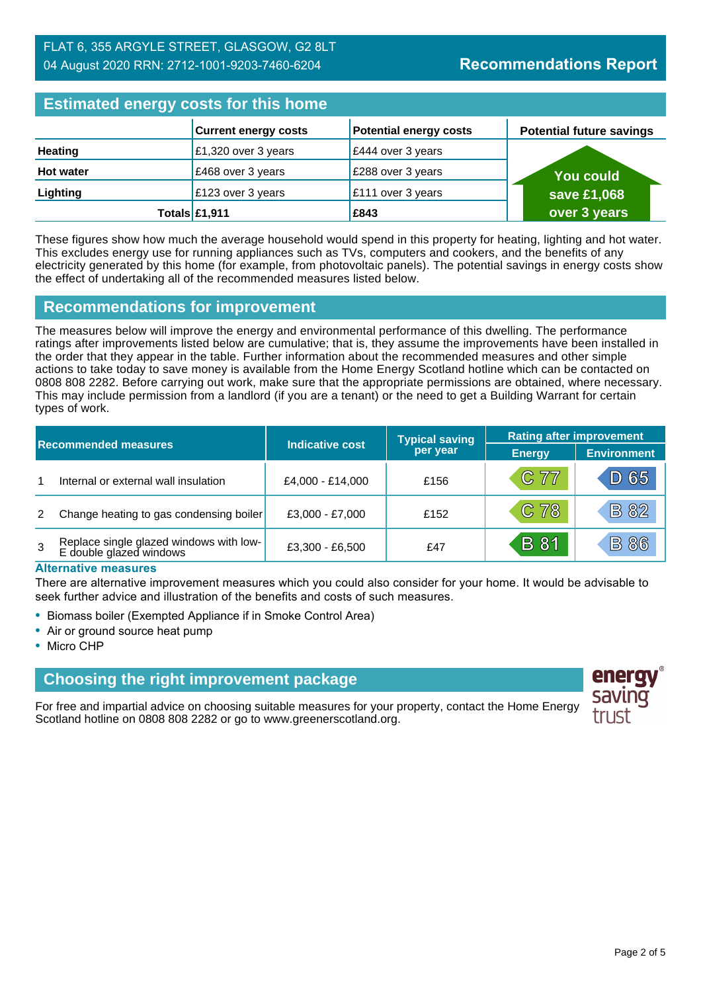#### FLAT 6, 355 ARGYLE STREET, GLASGOW, G2 8LT 04 August 2020 RRN: 2712-1001-9203-7460-6204

### **Estimated energy costs for this home**

| Editional and all and the contract of the second second the second second the second second second second second second second second second second second second second second second second second second second second seco |                             |                               |                                 |  |
|--------------------------------------------------------------------------------------------------------------------------------------------------------------------------------------------------------------------------------|-----------------------------|-------------------------------|---------------------------------|--|
|                                                                                                                                                                                                                                | <b>Current energy costs</b> | <b>Potential energy costs</b> | <b>Potential future savings</b> |  |
| <b>Heating</b>                                                                                                                                                                                                                 | £1,320 over 3 years         | £444 over 3 years             |                                 |  |
| <b>Hot water</b>                                                                                                                                                                                                               | £468 over 3 years           | £288 over 3 years             | <b>You could</b>                |  |
| Lighting                                                                                                                                                                                                                       | £123 over 3 years           | £111 over 3 years             | save £1,068                     |  |
|                                                                                                                                                                                                                                | Totals £1,911               | £843                          | over 3 years                    |  |

These figures show how much the average household would spend in this property for heating, lighting and hot water. This excludes energy use for running appliances such as TVs, computers and cookers, and the benefits of any electricity generated by this home (for example, from photovoltaic panels). The potential savings in energy costs show the effect of undertaking all of the recommended measures listed below.

#### **Recommendations for improvement**

The measures below will improve the energy and environmental performance of this dwelling. The performance ratings after improvements listed below are cumulative; that is, they assume the improvements have been installed in the order that they appear in the table. Further information about the recommended measures and other simple actions to take today to save money is available from the Home Energy Scotland hotline which can be contacted on 0808 808 2282. Before carrying out work, make sure that the appropriate permissions are obtained, where necessary. This may include permission from a landlord (if you are a tenant) or the need to get a Building Warrant for certain types of work.

| <b>Recommended measures</b> |                                                                    |                        | <b>Typical saving</b> | <b>Rating after improvement</b> |                    |
|-----------------------------|--------------------------------------------------------------------|------------------------|-----------------------|---------------------------------|--------------------|
|                             |                                                                    | <b>Indicative cost</b> | per year              | <b>Energy</b>                   | <b>Environment</b> |
|                             | Internal or external wall insulation                               | £4,000 - £14,000       | £156                  | $C$ 77                          | D 65               |
| 2                           | Change heating to gas condensing boiler                            | £3,000 - £7,000        | £152                  | $C$ 78                          | <b>B</b> 82        |
| 3                           | Replace single glazed windows with low-<br>E double glazed windows | £3,300 - £6,500        | £47                   | <b>B</b> 81                     | <b>B 86</b>        |

#### **Alternative measures**

There are alternative improvement measures which you could also consider for your home. It would be advisable to seek further advice and illustration of the benefits and costs of such measures.

- Biomass boiler (Exempted Appliance if in Smoke Control Area)
- Air or ground source heat pump
- Micro CHP

### **Choosing the right improvement package**

For free and impartial advice on choosing suitable measures for your property, contact the Home Energy Scotland hotline on 0808 808 2282 or go to www.greenerscotland.org.

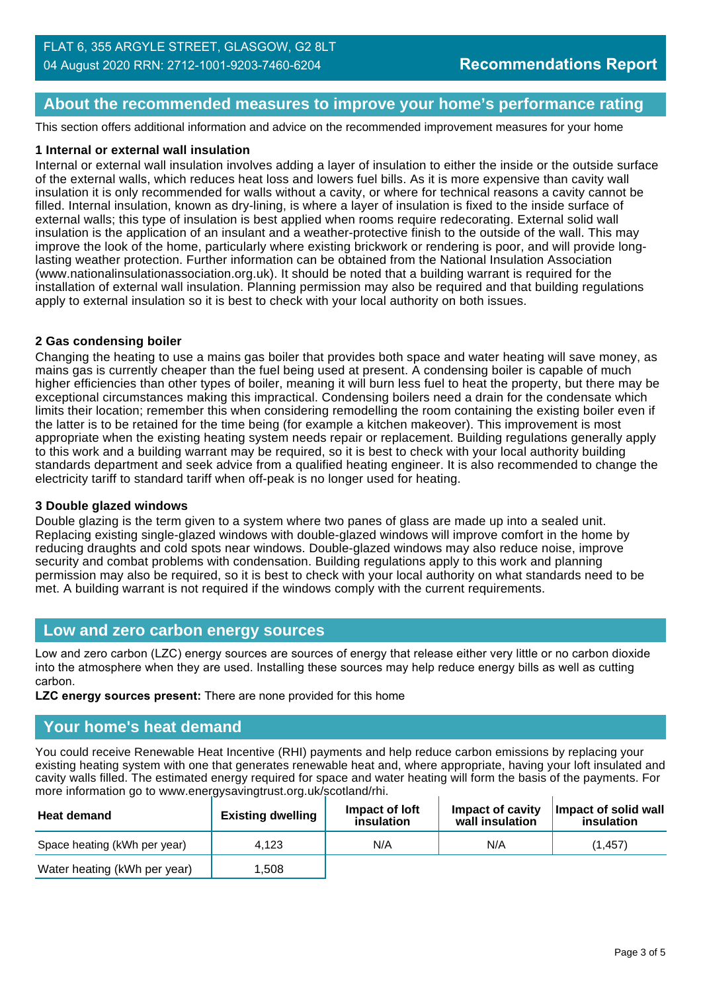### **About the recommended measures to improve your home's performance rating**

This section offers additional information and advice on the recommended improvement measures for your home

#### **1 Internal or external wall insulation**

Internal or external wall insulation involves adding a layer of insulation to either the inside or the outside surface of the external walls, which reduces heat loss and lowers fuel bills. As it is more expensive than cavity wall insulation it is only recommended for walls without a cavity, or where for technical reasons a cavity cannot be filled. Internal insulation, known as dry-lining, is where a layer of insulation is fixed to the inside surface of external walls; this type of insulation is best applied when rooms require redecorating. External solid wall insulation is the application of an insulant and a weather-protective finish to the outside of the wall. This may improve the look of the home, particularly where existing brickwork or rendering is poor, and will provide longlasting weather protection. Further information can be obtained from the National Insulation Association (www.nationalinsulationassociation.org.uk). It should be noted that a building warrant is required for the installation of external wall insulation. Planning permission may also be required and that building regulations apply to external insulation so it is best to check with your local authority on both issues.

#### **2 Gas condensing boiler**

Changing the heating to use a mains gas boiler that provides both space and water heating will save money, as mains gas is currently cheaper than the fuel being used at present. A condensing boiler is capable of much higher efficiencies than other types of boiler, meaning it will burn less fuel to heat the property, but there may be exceptional circumstances making this impractical. Condensing boilers need a drain for the condensate which limits their location; remember this when considering remodelling the room containing the existing boiler even if the latter is to be retained for the time being (for example a kitchen makeover). This improvement is most appropriate when the existing heating system needs repair or replacement. Building regulations generally apply to this work and a building warrant may be required, so it is best to check with your local authority building standards department and seek advice from a qualified heating engineer. It is also recommended to change the electricity tariff to standard tariff when off-peak is no longer used for heating.

#### **3 Double glazed windows**

Double glazing is the term given to a system where two panes of glass are made up into a sealed unit. Replacing existing single-glazed windows with double-glazed windows will improve comfort in the home by reducing draughts and cold spots near windows. Double-glazed windows may also reduce noise, improve security and combat problems with condensation. Building regulations apply to this work and planning permission may also be required, so it is best to check with your local authority on what standards need to be met. A building warrant is not required if the windows comply with the current requirements.

#### **Low and zero carbon energy sources**

Low and zero carbon (LZC) energy sources are sources of energy that release either very little or no carbon dioxide into the atmosphere when they are used. Installing these sources may help reduce energy bills as well as cutting carbon.

**LZC energy sources present:** There are none provided for this home

#### **Your home's heat demand**

You could receive Renewable Heat Incentive (RHI) payments and help reduce carbon emissions by replacing your existing heating system with one that generates renewable heat and, where appropriate, having your loft insulated and cavity walls filled. The estimated energy required for space and water heating will form the basis of the payments. For more information go to www.energysavingtrust.org.uk/scotland/rhi.

| <b>Heat demand</b>           | <b>Existing dwelling</b> | Impact of loft<br>insulation | Impact of cavity<br>wall insulation | Impact of solid wall<br>insulation |
|------------------------------|--------------------------|------------------------------|-------------------------------------|------------------------------------|
| Space heating (kWh per year) | 4.123                    | N/A                          | N/A                                 | (1.457)                            |
| Water heating (kWh per year) | .508                     |                              |                                     |                                    |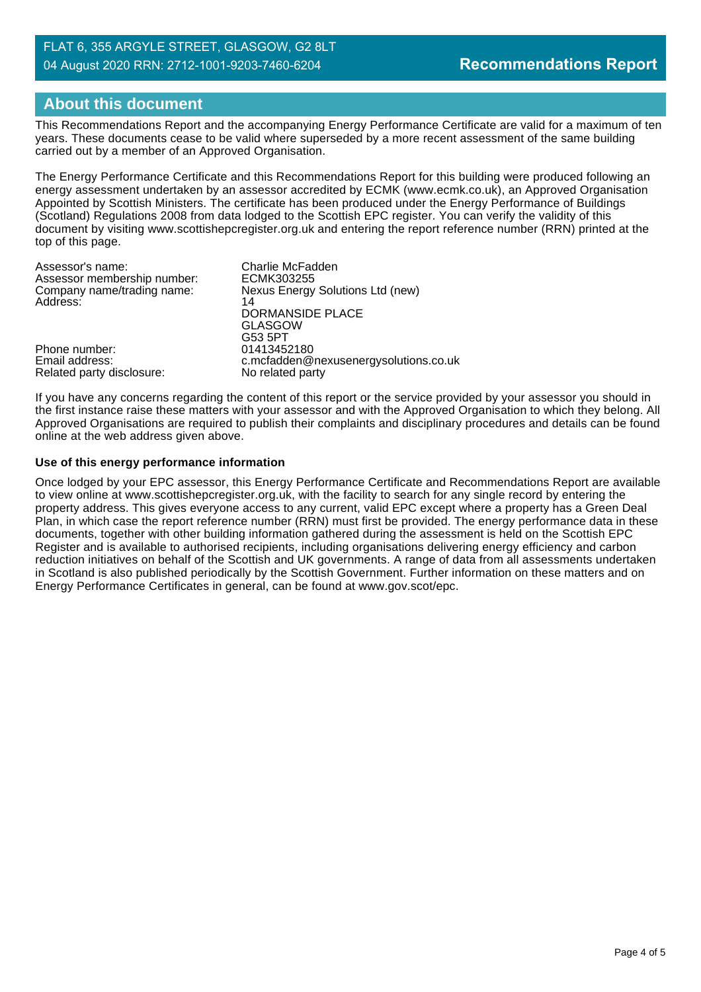#### FLAT 6, 355 ARGYLE STREET, GLASGOW, G2 8LT 04 August 2020 RRN: 2712-1001-9203-7460-6204

### **About this document**

This Recommendations Report and the accompanying Energy Performance Certificate are valid for a maximum of ten years. These documents cease to be valid where superseded by a more recent assessment of the same building carried out by a member of an Approved Organisation.

The Energy Performance Certificate and this Recommendations Report for this building were produced following an energy assessment undertaken by an assessor accredited by ECMK (www.ecmk.co.uk), an Approved Organisation Appointed by Scottish Ministers. The certificate has been produced under the Energy Performance of Buildings (Scotland) Regulations 2008 from data lodged to the Scottish EPC register. You can verify the validity of this document by visiting www.scottishepcregister.org.uk and entering the report reference number (RRN) printed at the top of this page.

| Assessor's name:                                          | Charlie McFadden                               |
|-----------------------------------------------------------|------------------------------------------------|
| Assessor membership number:<br>Company name/trading name: | ECMK303255<br>Nexus Energy Solutions Ltd (new) |
| Address:                                                  | 14                                             |
|                                                           | DORMANSIDE PLACE                               |
|                                                           | <b>GLASGOW</b>                                 |
|                                                           | G53 5PT                                        |
| Phone number:                                             | 01413452180                                    |
| Email address:                                            | c.mcfadden@nexusenergysolutions.co.uk          |
| Related party disclosure:                                 | No related party                               |

If you have any concerns regarding the content of this report or the service provided by your assessor you should in the first instance raise these matters with your assessor and with the Approved Organisation to which they belong. All Approved Organisations are required to publish their complaints and disciplinary procedures and details can be found online at the web address given above.

#### **Use of this energy performance information**

Once lodged by your EPC assessor, this Energy Performance Certificate and Recommendations Report are available to view online at www.scottishepcregister.org.uk, with the facility to search for any single record by entering the property address. This gives everyone access to any current, valid EPC except where a property has a Green Deal Plan, in which case the report reference number (RRN) must first be provided. The energy performance data in these documents, together with other building information gathered during the assessment is held on the Scottish EPC Register and is available to authorised recipients, including organisations delivering energy efficiency and carbon reduction initiatives on behalf of the Scottish and UK governments. A range of data from all assessments undertaken in Scotland is also published periodically by the Scottish Government. Further information on these matters and on Energy Performance Certificates in general, can be found at www.gov.scot/epc.